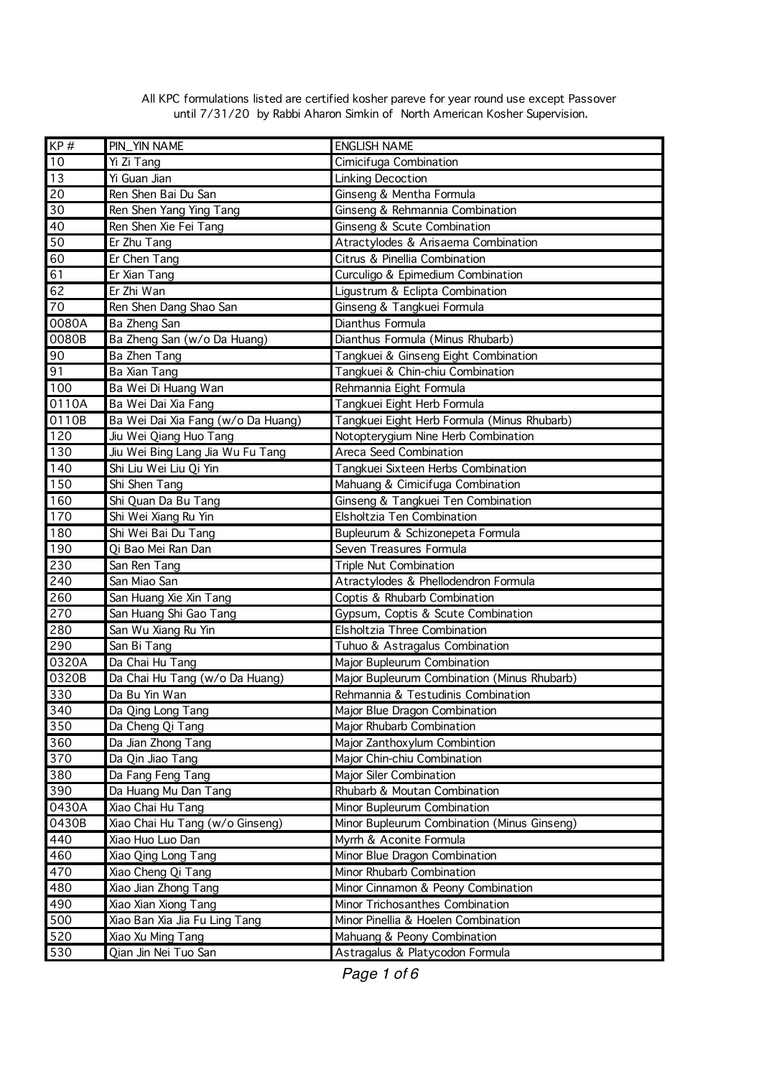| KP#               | PIN_YIN NAME                       | <b>ENGLISH NAME</b>                         |
|-------------------|------------------------------------|---------------------------------------------|
| 10                | Yi Zi Tang                         | Cimicifuga Combination                      |
| $\overline{13}$   | Yi Guan Jian                       | Linking Decoction                           |
| 20                | Ren Shen Bai Du San                | Ginseng & Mentha Formula                    |
| 30                | Ren Shen Yang Ying Tang            | Ginseng & Rehmannia Combination             |
| 40                | Ren Shen Xie Fei Tang              | Ginseng & Scute Combination                 |
| 50                | Er Zhu Tang                        | Atractylodes & Arisaema Combination         |
| 60                | Er Chen Tang                       | Citrus & Pinellia Combination               |
| 61                | Er Xian Tang                       | Curculigo & Epimedium Combination           |
| 62                | Er Zhi Wan                         | Ligustrum & Eclipta Combination             |
| $\overline{70}$   | Ren Shen Dang Shao San             | Ginseng & Tangkuei Formula                  |
| 0080A             | Ba Zheng San                       | Dianthus Formula                            |
| 0080B             | Ba Zheng San (w/o Da Huang)        | Dianthus Formula (Minus Rhubarb)            |
| 90                | Ba Zhen Tang                       | Tangkuei & Ginseng Eight Combination        |
| 91                | Ba Xian Tang                       | Tangkuei & Chin-chiu Combination            |
| 100               | Ba Wei Di Huang Wan                | Rehmannia Eight Formula                     |
| 0110A             | Ba Wei Dai Xia Fang                | Tangkuei Eight Herb Formula                 |
| 0110B             | Ba Wei Dai Xia Fang (w/o Da Huang) | Tangkuei Eight Herb Formula (Minus Rhubarb) |
| 120               | Jiu Wei Qiang Huo Tang             | Notopterygium Nine Herb Combination         |
| 130               | Jiu Wei Bing Lang Jia Wu Fu Tang   | Areca Seed Combination                      |
| 140               | Shi Liu Wei Liu Qi Yin             | Tangkuei Sixteen Herbs Combination          |
| 150               | Shi Shen Tang                      | Mahuang & Cimicifuga Combination            |
| 160               | Shi Quan Da Bu Tang                | Ginseng & Tangkuei Ten Combination          |
| 170               | Shi Wei Xiang Ru Yin               | Elsholtzia Ten Combination                  |
| 180               | Shi Wei Bai Du Tang                | Bupleurum & Schizonepeta Formula            |
| 190               | Qi Bao Mei Ran Dan                 | Seven Treasures Formula                     |
| 230               | San Ren Tang                       | Triple Nut Combination                      |
| 240               | San Miao San                       | Atractylodes & Phellodendron Formula        |
| $\overline{260}$  | San Huang Xie Xin Tang             | Coptis & Rhubarb Combination                |
| 270               | San Huang Shi Gao Tang             | Gypsum, Coptis & Scute Combination          |
| 280               | San Wu Xiang Ru Yin                | Elsholtzia Three Combination                |
| 290               | San Bi Tang                        | Tuhuo & Astragalus Combination              |
| 0320A             | Da Chai Hu Tang                    | Major Bupleurum Combination                 |
| 0320B             | Da Chai Hu Tang (w/o Da Huang)     | Major Bupleurum Combination (Minus Rhubarb) |
| $\frac{330}{240}$ | Da Bu Yin Wan                      | Rehmannia & Testudinis Combination          |
| 340               | Da Qing Long Tang                  | Major Blue Dragon Combination               |
| 350               | Da Cheng Qi Tang                   | Major Rhubarb Combination                   |
| 360               | Da Jian Zhong Tang                 | Major Zanthoxylum Combintion                |
| 370               | Da Qin Jiao Tang                   | Major Chin-chiu Combination                 |
| 380               | Da Fang Feng Tang                  | Major Siler Combination                     |
| 390               | Da Huang Mu Dan Tang               | Rhubarb & Moutan Combination                |
| 0430A             | Xiao Chai Hu Tang                  | Minor Bupleurum Combination                 |
| 0430B             | Xiao Chai Hu Tang (w/o Ginseng)    | Minor Bupleurum Combination (Minus Ginseng) |
| 440               | Xiao Huo Luo Dan                   | Myrrh & Aconite Formula                     |
| 460               | Xiao Qing Long Tang                | Minor Blue Dragon Combination               |
| 470               | Xiao Cheng Qi Tang                 | Minor Rhubarb Combination                   |
| 480               | Xiao Jian Zhong Tang               | Minor Cinnamon & Peony Combination          |
| 490               | Xiao Xian Xiong Tang               | Minor Trichosanthes Combination             |
| 500               | Xiao Ban Xia Jia Fu Ling Tang      | Minor Pinellia & Hoelen Combination         |
| $\overline{520}$  | Xiao Xu Ming Tang                  | Mahuang & Peony Combination                 |
| 530               | Qian Jin Nei Tuo San               | Astragalus & Platycodon Formula             |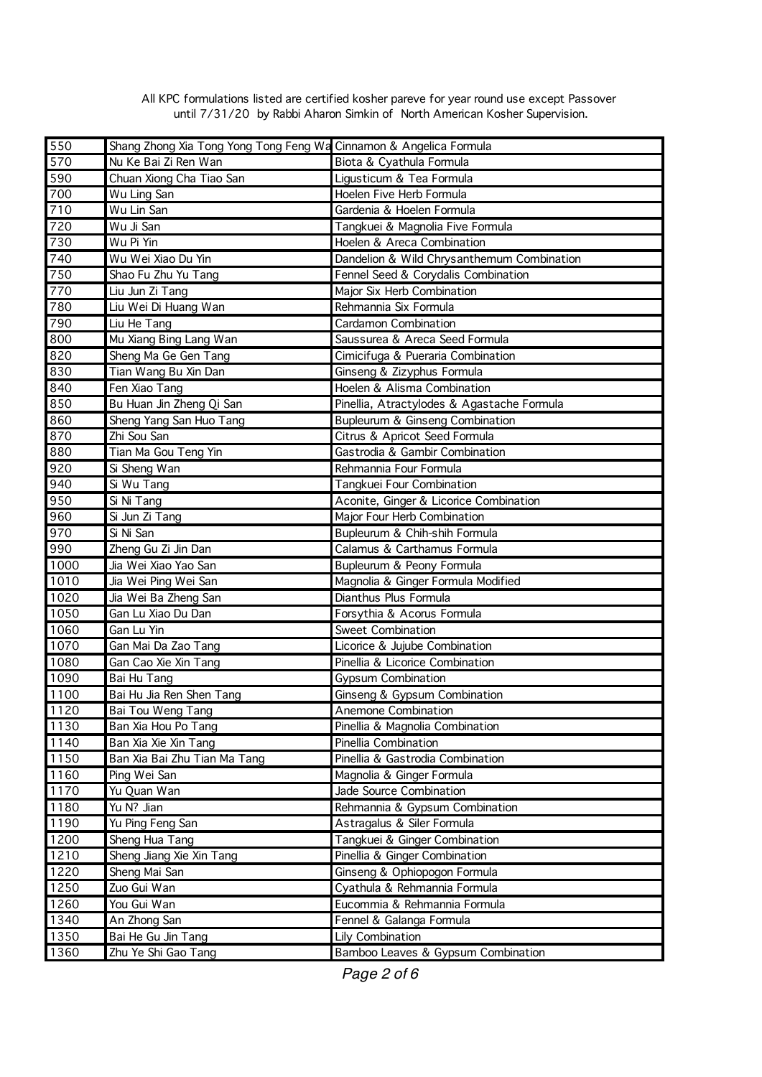| 550  | Shang Zhong Xia Tong Yong Tong Feng Wa Cinnamon & Angelica Formula |                                            |
|------|--------------------------------------------------------------------|--------------------------------------------|
| 570  | Nu Ke Bai Zi Ren Wan                                               | Biota & Cyathula Formula                   |
| 590  | Chuan Xiong Cha Tiao San                                           | Ligusticum & Tea Formula                   |
| 700  | Wu Ling San                                                        | Hoelen Five Herb Formula                   |
| 710  | Wu Lin San                                                         | Gardenia & Hoelen Formula                  |
| 720  | Wu Ji San                                                          | Tangkuei & Magnolia Five Formula           |
| 730  | Wu Pi Yin                                                          | Hoelen & Areca Combination                 |
| 740  | Wu Wei Xiao Du Yin                                                 | Dandelion & Wild Chrysanthemum Combination |
| 750  | Shao Fu Zhu Yu Tang                                                | Fennel Seed & Corydalis Combination        |
| 770  | Liu Jun Zi Tang                                                    | Major Six Herb Combination                 |
| 780  | Liu Wei Di Huang Wan                                               | Rehmannia Six Formula                      |
| 790  | Liu He Tang                                                        | Cardamon Combination                       |
| 800  | Mu Xiang Bing Lang Wan                                             | Saussurea & Areca Seed Formula             |
| 820  | Sheng Ma Ge Gen Tang                                               | Cimicifuga & Pueraria Combination          |
| 830  | Tian Wang Bu Xin Dan                                               | Ginseng & Zizyphus Formula                 |
| 840  | Fen Xiao Tang                                                      | Hoelen & Alisma Combination                |
| 850  | Bu Huan Jin Zheng Qi San                                           | Pinellia, Atractylodes & Agastache Formula |
| 860  | Sheng Yang San Huo Tang                                            | Bupleurum & Ginseng Combination            |
| 870  | Zhi Sou San                                                        | Citrus & Apricot Seed Formula              |
| 880  | Tian Ma Gou Teng Yin                                               | Gastrodia & Gambir Combination             |
| 920  | Si Sheng Wan                                                       | Rehmannia Four Formula                     |
| 940  | Si Wu Tang                                                         | Tangkuei Four Combination                  |
| 950  | Si Ni Tang                                                         | Aconite, Ginger & Licorice Combination     |
| 960  | Si Jun Zi Tang                                                     | Major Four Herb Combination                |
| 970  | Si Ni San                                                          | Bupleurum & Chih-shih Formula              |
| 990  | Zheng Gu Zi Jin Dan                                                | Calamus & Carthamus Formula                |
| 1000 | Jia Wei Xiao Yao San                                               | Bupleurum & Peony Formula                  |
| 1010 | Jia Wei Ping Wei San                                               | Magnolia & Ginger Formula Modified         |
| 1020 | Jia Wei Ba Zheng San                                               | Dianthus Plus Formula                      |
| 1050 | Gan Lu Xiao Du Dan                                                 | Forsythia & Acorus Formula                 |
| 1060 | Gan Lu Yin                                                         | Sweet Combination                          |
| 1070 | Gan Mai Da Zao Tang                                                | Licorice & Jujube Combination              |
| 1080 | Gan Cao Xie Xin Tang                                               | Pinellia & Licorice Combination            |
| 1090 | Bai Hu Tang                                                        | Gypsum Combination                         |
| 1100 | Bai Hu Jia Ren Shen Tang                                           | Ginseng & Gypsum Combination               |
| 1120 | Bai Tou Weng Tang                                                  | Anemone Combination                        |
| 1130 | Ban Xia Hou Po Tang                                                | Pinellia & Magnolia Combination            |
| 1140 | Ban Xia Xie Xin Tang                                               | Pinellia Combination                       |
| 1150 | Ban Xia Bai Zhu Tian Ma Tang                                       | Pinellia & Gastrodia Combination           |
| 1160 | Ping Wei San                                                       | Magnolia & Ginger Formula                  |
| 1170 | Yu Quan Wan                                                        | Jade Source Combination                    |
| 1180 | Yu N? Jian                                                         | Rehmannia & Gypsum Combination             |
| 1190 | Yu Ping Feng San                                                   | Astragalus & Siler Formula                 |
| 1200 | Sheng Hua Tang                                                     | Tangkuei & Ginger Combination              |
| 1210 | Sheng Jiang Xie Xin Tang                                           | Pinellia & Ginger Combination              |
| 1220 | Sheng Mai San                                                      | Ginseng & Ophiopogon Formula               |
| 1250 | Zuo Gui Wan                                                        | Cyathula & Rehmannia Formula               |
| 1260 | You Gui Wan                                                        | Eucommia & Rehmannia Formula               |
| 1340 | An Zhong San                                                       | Fennel & Galanga Formula                   |
| 1350 | Bai He Gu Jin Tang                                                 | Lily Combination                           |
| 1360 | Zhu Ye Shi Gao Tang                                                | Bamboo Leaves & Gypsum Combination         |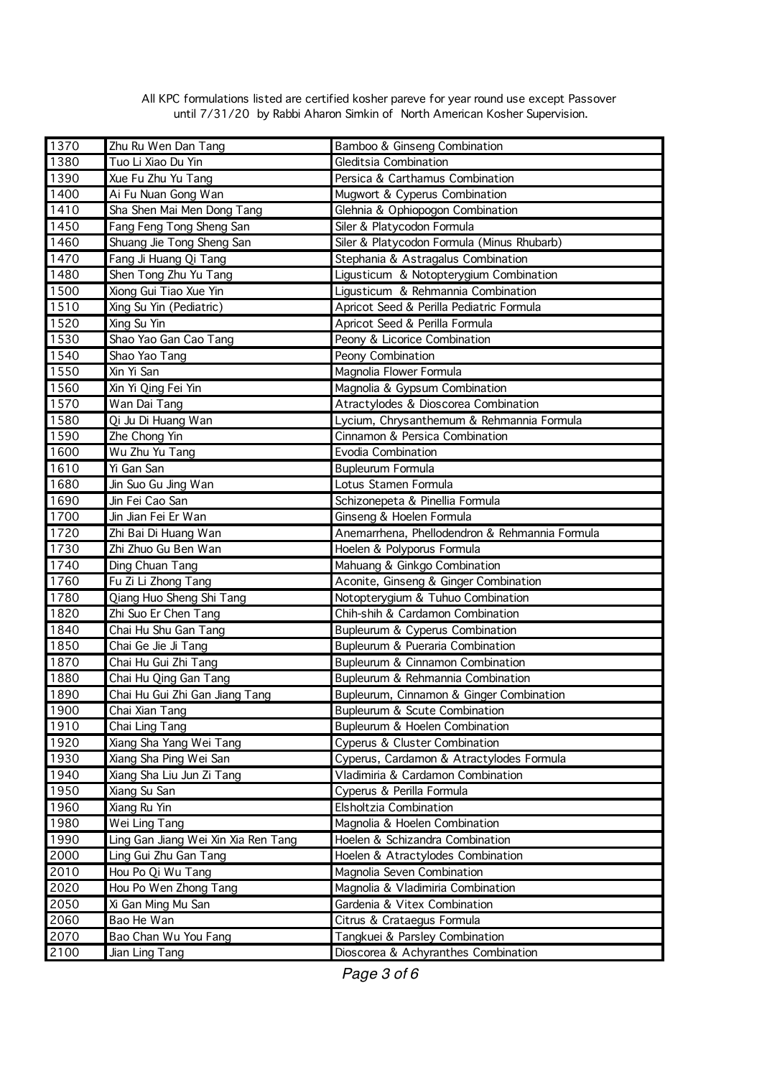| 1370              | Zhu Ru Wen Dan Tang                 | Bamboo & Ginseng Combination                   |
|-------------------|-------------------------------------|------------------------------------------------|
| 1380              | Tuo Li Xiao Du Yin                  | Gleditsia Combination                          |
| 1390              | Xue Fu Zhu Yu Tang                  | Persica & Carthamus Combination                |
| 1400              | Ai Fu Nuan Gong Wan                 | Mugwort & Cyperus Combination                  |
| 1410              | Sha Shen Mai Men Dong Tang          | Glehnia & Ophiopogon Combination               |
| 1450              | Fang Feng Tong Sheng San            | Siler & Platycodon Formula                     |
| 1460              | Shuang Jie Tong Sheng San           | Siler & Platycodon Formula (Minus Rhubarb)     |
| 1470              | Fang Ji Huang Qi Tang               | Stephania & Astragalus Combination             |
| 1480              | Shen Tong Zhu Yu Tang               | Ligusticum & Notopterygium Combination         |
| 1500              | Xiong Gui Tiao Xue Yin              | Ligusticum & Rehmannia Combination             |
| 1510              | Xing Su Yin (Pediatric)             | Apricot Seed & Perilla Pediatric Formula       |
| 1520              | Xing Su Yin                         | Apricot Seed & Perilla Formula                 |
| 1530              | Shao Yao Gan Cao Tang               | Peony & Licorice Combination                   |
| 1540              | Shao Yao Tang                       | Peony Combination                              |
| 1550              | Xin Yi San                          | Magnolia Flower Formula                        |
| 1560              | Xin Yi Qing Fei Yin                 | Magnolia & Gypsum Combination                  |
| 1570              | Wan Dai Tang                        | Atractylodes & Dioscorea Combination           |
| 1580              | Qi Ju Di Huang Wan                  | Lycium, Chrysanthemum & Rehmannia Formula      |
| 1590              | Zhe Chong Yin                       | Cinnamon & Persica Combination                 |
| 1600              | Wu Zhu Yu Tang                      | Evodia Combination                             |
| 1610              | Yi Gan San                          | <b>Bupleurum Formula</b>                       |
| 1680              | Jin Suo Gu Jing Wan                 | Lotus Stamen Formula                           |
| 1690              | Jin Fei Cao San                     | Schizonepeta & Pinellia Formula                |
| 1700              | Jin Jian Fei Er Wan                 | Ginseng & Hoelen Formula                       |
| 1720              | Zhi Bai Di Huang Wan                | Anemarrhena, Phellodendron & Rehmannia Formula |
| $\overline{1730}$ | Zhi Zhuo Gu Ben Wan                 | Hoelen & Polyporus Formula                     |
| 1740              | Ding Chuan Tang                     | Mahuang & Ginkgo Combination                   |
| 1760              | Fu Zi Li Zhong Tang                 | Aconite, Ginseng & Ginger Combination          |
| 1780              | Qiang Huo Sheng Shi Tang            | Notopterygium & Tuhuo Combination              |
| 1820              | Zhi Suo Er Chen Tang                | Chih-shih & Cardamon Combination               |
| 1840              | Chai Hu Shu Gan Tang                | Bupleurum & Cyperus Combination                |
| 1850              | Chai Ge Jie Ji Tang                 | Bupleurum & Pueraria Combination               |
| 1870              | Chai Hu Gui Zhi Tang                | Bupleurum & Cinnamon Combination               |
| 1880              | Chai Hu Qing Gan Tang               | Bupleurum & Rehmannia Combination              |
| 1890              | Chai Hu Gui Zhi Gan Jiang Tang      | Bupleurum, Cinnamon & Ginger Combination       |
| 1900<br>1910      | Chai Xian Tang                      | <b>Bupleurum &amp; Scute Combination</b>       |
|                   | Chai Ling Tang                      | Bupleurum & Hoelen Combination                 |
| 1920              | Xiang Sha Yang Wei Tang             | Cyperus & Cluster Combination                  |
| 1930              | Xiang Sha Ping Wei San              | Cyperus, Cardamon & Atractylodes Formula       |
| 1940              | Xiang Sha Liu Jun Zi Tang           | Vladimiria & Cardamon Combination              |
| 1950              | Xiang Su San                        | Cyperus & Perilla Formula                      |
| 1960              | Xiang Ru Yin                        | Elsholtzia Combination                         |
| 1980              | Wei Ling Tang                       | Magnolia & Hoelen Combination                  |
| 1990              | Ling Gan Jiang Wei Xin Xia Ren Tang | Hoelen & Schizandra Combination                |
| 2000              | Ling Gui Zhu Gan Tang               | Hoelen & Atractylodes Combination              |
| 2010              | Hou Po Qi Wu Tang                   | Magnolia Seven Combination                     |
| 2020              | Hou Po Wen Zhong Tang               | Magnolia & Vladimiria Combination              |
| 2050              | Xi Gan Ming Mu San                  | Gardenia & Vitex Combination                   |
| 2060              | Bao He Wan                          | Citrus & Crataegus Formula                     |
| 2070              | Bao Chan Wu You Fang                | Tangkuei & Parsley Combination                 |
| 2100              | Jian Ling Tang                      | Dioscorea & Achyranthes Combination            |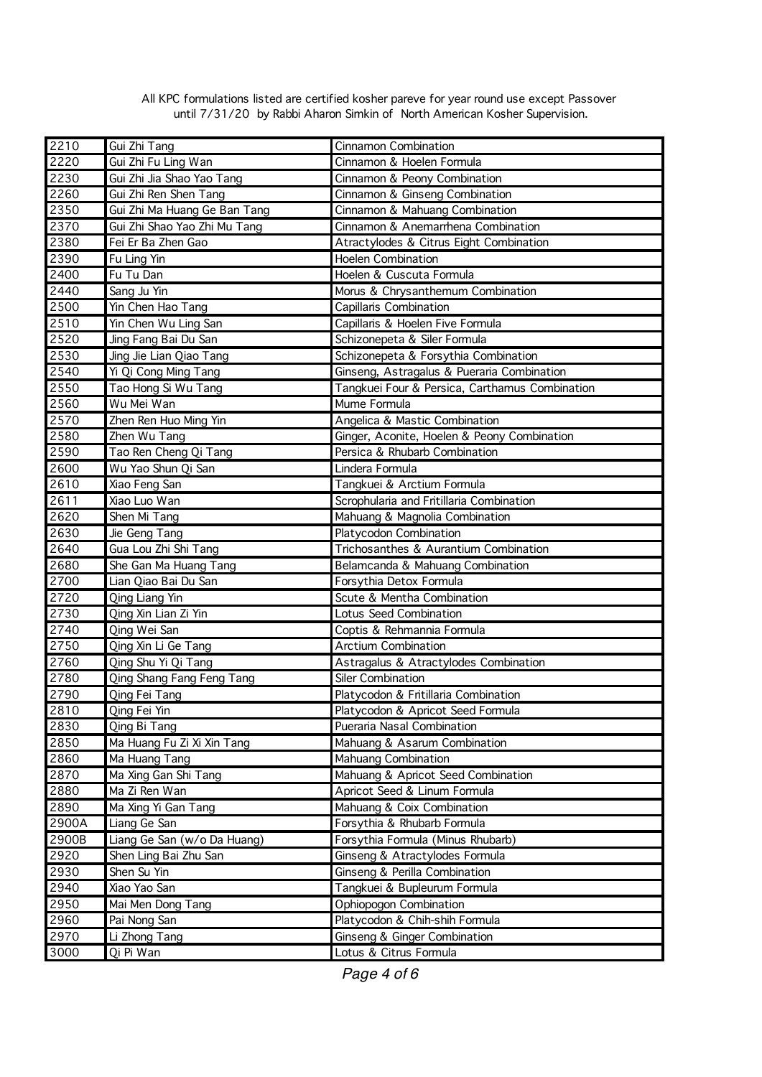| 2210              | Gui Zhi Tang                 | Cinnamon Combination                           |
|-------------------|------------------------------|------------------------------------------------|
| 2220              | Gui Zhi Fu Ling Wan          | Cinnamon & Hoelen Formula                      |
| 2230              | Gui Zhi Jia Shao Yao Tang    | Cinnamon & Peony Combination                   |
| 2260              | Gui Zhi Ren Shen Tang        | Cinnamon & Ginseng Combination                 |
| 2350              | Gui Zhi Ma Huang Ge Ban Tang | Cinnamon & Mahuang Combination                 |
| 2370              | Gui Zhi Shao Yao Zhi Mu Tang | Cinnamon & Anemarrhena Combination             |
| 2380              | Fei Er Ba Zhen Gao           | Atractylodes & Citrus Eight Combination        |
| 2390              | Fu Ling Yin                  | Hoelen Combination                             |
| 2400              | Fu Tu Dan                    | Hoelen & Cuscuta Formula                       |
| 2440              | Sang Ju Yin                  | Morus & Chrysanthemum Combination              |
| 2500              | Yin Chen Hao Tang            | Capillaris Combination                         |
| 2510              | Yin Chen Wu Ling San         | Capillaris & Hoelen Five Formula               |
| 2520              | Jing Fang Bai Du San         | Schizonepeta & Siler Formula                   |
| 2530              | Jing Jie Lian Qiao Tang      | Schizonepeta & Forsythia Combination           |
| 2540              | Yi Qi Cong Ming Tang         | Ginseng, Astragalus & Pueraria Combination     |
| 2550              | Tao Hong Si Wu Tang          | Tangkuei Four & Persica, Carthamus Combination |
| 2560              | Wu Mei Wan                   | Mume Formula                                   |
| 2570              | Zhen Ren Huo Ming Yin        | Angelica & Mastic Combination                  |
| 2580              | Zhen Wu Tang                 | Ginger, Aconite, Hoelen & Peony Combination    |
| 2590              | Tao Ren Cheng Qi Tang        | Persica & Rhubarb Combination                  |
| 2600              | Wu Yao Shun Qi San           | Lindera Formula                                |
| 2610              | Xiao Feng San                | Tangkuei & Arctium Formula                     |
| $\overline{2611}$ | Xiao Luo Wan                 | Scrophularia and Fritillaria Combination       |
| 2620              | Shen Mi Tang                 | Mahuang & Magnolia Combination                 |
| 2630              | Jie Geng Tang                | Platycodon Combination                         |
| 2640              | Gua Lou Zhi Shi Tang         | Trichosanthes & Aurantium Combination          |
| 2680              | She Gan Ma Huang Tang        | Belamcanda & Mahuang Combination               |
| 2700              | Lian Qiao Bai Du San         | Forsythia Detox Formula                        |
| 2720              | Qing Liang Yin               | Scute & Mentha Combination                     |
| 2730              | Qing Xin Lian Zi Yin         | Lotus Seed Combination                         |
| 2740              | Qing Wei San                 | Coptis & Rehmannia Formula                     |
| 2750              | Qing Xin Li Ge Tang          | Arctium Combination                            |
| 2760              | Qing Shu Yi Qi Tang          | Astragalus & Atractylodes Combination          |
| 2780              | Qing Shang Fang Feng Tang    | Siler Combination                              |
| 2790              | Qing Fei Tang                | Platycodon & Fritillaria Combination           |
| 2810<br>2830      | Qing Fei Yin                 | Platycodon & Apricot Seed Formula              |
|                   | Qing Bi Tang                 | Pueraria Nasal Combination                     |
| 2850              | Ma Huang Fu Zi Xi Xin Tang   | Mahuang & Asarum Combination                   |
| 2860              | Ma Huang Tang                | Mahuang Combination                            |
| I<br>2870         | Ma Xing Gan Shi Tang         | Mahuang & Apricot Seed Combination             |
| 2880              | Ma Zi Ren Wan                | Apricot Seed & Linum Formula                   |
| 2890              | Ma Xing Yi Gan Tang          | Mahuang & Coix Combination                     |
| 2900A             | Liang Ge San                 | Forsythia & Rhubarb Formula                    |
| 2900B             | Liang Ge San (w/o Da Huang)  | Forsythia Formula (Minus Rhubarb)              |
| 2920              | Shen Ling Bai Zhu San        | Ginseng & Atractylodes Formula                 |
| 2930              | Shen Su Yin                  | Ginseng & Perilla Combination                  |
| 2940              | Xiao Yao San                 | Tangkuei & Bupleurum Formula                   |
| 2950              | Mai Men Dong Tang            | Ophiopogon Combination                         |
| 2960              | Pai Nong San                 | Platycodon & Chih-shih Formula                 |
| 2970              | Li Zhong Tang                | Ginseng & Ginger Combination                   |
| 3000              | Qi Pi Wan                    | Lotus & Citrus Formula                         |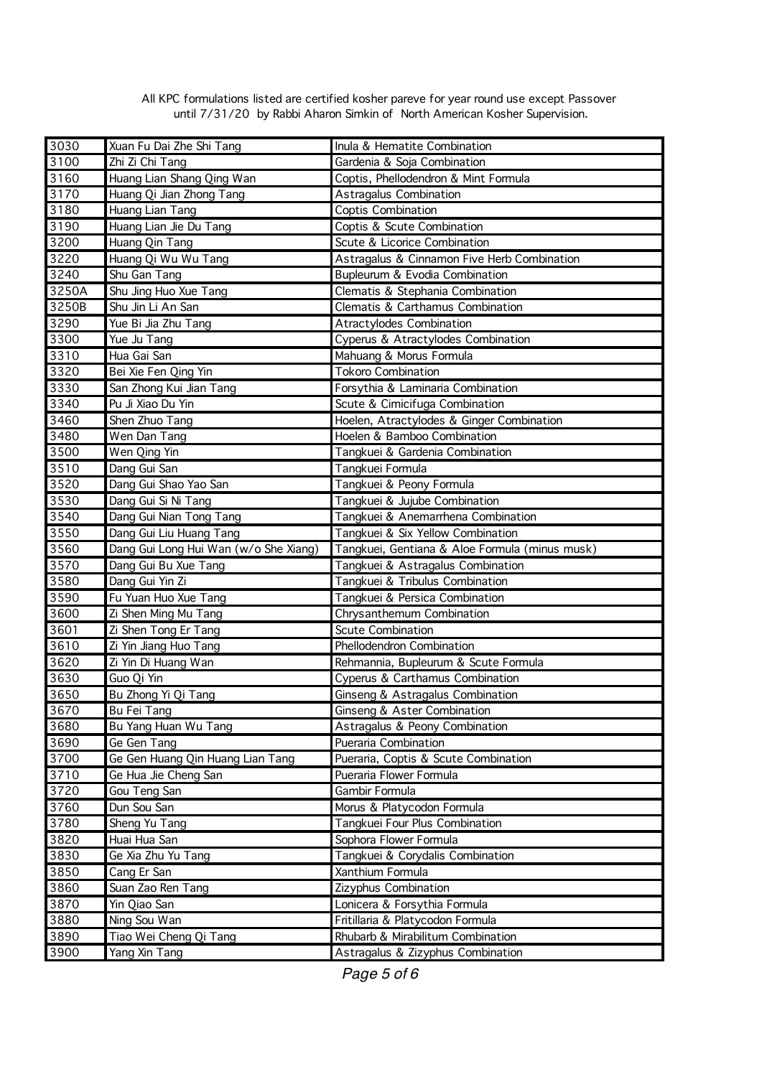| 3030  | Xuan Fu Dai Zhe Shi Tang              | Inula & Hematite Combination                   |
|-------|---------------------------------------|------------------------------------------------|
| 3100  | Zhi Zi Chi Tang                       | Gardenia & Soja Combination                    |
| 3160  | Huang Lian Shang Qing Wan             | Coptis, Phellodendron & Mint Formula           |
| 3170  | Huang Qi Jian Zhong Tang              | Astragalus Combination                         |
| 3180  | Huang Lian Tang                       | Coptis Combination                             |
| 3190  | Huang Lian Jie Du Tang                | Coptis & Scute Combination                     |
| 3200  | Huang Qin Tang                        | Scute & Licorice Combination                   |
| 3220  | Huang Qi Wu Wu Tang                   | Astragalus & Cinnamon Five Herb Combination    |
| 3240  | Shu Gan Tang                          | Bupleurum & Evodia Combination                 |
| 3250A | Shu Jing Huo Xue Tang                 | Clematis & Stephania Combination               |
| 3250B | Shu Jin Li An San                     | Clematis & Carthamus Combination               |
| 3290  | Yue Bi Jia Zhu Tang                   | Atractylodes Combination                       |
| 3300  | Yue Ju Tang                           | Cyperus & Atractylodes Combination             |
| 3310  | Hua Gai San                           | Mahuang & Morus Formula                        |
| 3320  | Bei Xie Fen Qing Yin                  | <b>Tokoro Combination</b>                      |
| 3330  | San Zhong Kui Jian Tang               | Forsythia & Laminaria Combination              |
| 3340  | Pu Ji Xiao Du Yin                     | Scute & Cimicifuga Combination                 |
| 3460  | Shen Zhuo Tang                        | Hoelen, Atractylodes & Ginger Combination      |
| 3480  | Wen Dan Tang                          | Hoelen & Bamboo Combination                    |
| 3500  | Wen Qing Yin                          | Tangkuei & Gardenia Combination                |
| 3510  | Dang Gui San                          | Tangkuei Formula                               |
| 3520  | Dang Gui Shao Yao San                 | Tangkuei & Peony Formula                       |
| 3530  | Dang Gui Si Ni Tang                   | Tangkuei & Jujube Combination                  |
| 3540  | Dang Gui Nian Tong Tang               | Tangkuei & Anemarrhena Combination             |
| 3550  | Dang Gui Liu Huang Tang               | Tangkuei & Six Yellow Combination              |
| 3560  | Dang Gui Long Hui Wan (w/o She Xiang) | Tangkuei, Gentiana & Aloe Formula (minus musk) |
| 3570  | Dang Gui Bu Xue Tang                  | Tangkuei & Astragalus Combination              |
| 3580  | Dang Gui Yin Zi                       | Tangkuei & Tribulus Combination                |
| 3590  | Fu Yuan Huo Xue Tang                  | Tangkuei & Persica Combination                 |
| 3600  | Zi Shen Ming Mu Tang                  | Chrysanthemum Combination                      |
| 3601  | Zi Shen Tong Er Tang                  | Scute Combination                              |
| 3610  | Zi Yin Jiang Huo Tang                 | Phellodendron Combination                      |
| 3620  | Zi Yin Di Huang Wan                   | Rehmannia, Bupleurum & Scute Formula           |
| 3630  | Guo Qi Yin                            | Cyperus & Carthamus Combination                |
| 3650  | Bu Zhong Yi Qi Tang                   | Ginseng & Astragalus Combination               |
| 3670  | Bu Fei Tang                           | <b>Ginseng &amp; Aster Combination</b>         |
| 3680  | Bu Yang Huan Wu Tang                  | Astragalus & Peony Combination                 |
| 3690  | Ge Gen Tang                           | Pueraria Combination                           |
| 3700  | Ge Gen Huang Qin Huang Lian Tang      | Pueraria, Coptis & Scute Combination           |
| 3710  | Ge Hua Jie Cheng San                  | Pueraria Flower Formula                        |
| 3720  | Gou Teng San                          | Gambir Formula                                 |
| 3760  | Dun Sou San                           | Morus & Platycodon Formula                     |
| 3780  | Sheng Yu Tang                         | Tangkuei Four Plus Combination                 |
| 3820  | Huai Hua San                          | Sophora Flower Formula                         |
| 3830  | Ge Xia Zhu Yu Tang                    | Tangkuei & Corydalis Combination               |
| 3850  | Cang Er San                           | Xanthium Formula                               |
| 3860  | Suan Zao Ren Tang                     | Zizyphus Combination                           |
| 3870  | Yin Qiao San                          | Lonicera & Forsythia Formula                   |
| 3880  | Ning Sou Wan                          | Fritillaria & Platycodon Formula               |
| 3890  | Tiao Wei Cheng Qi Tang                | Rhubarb & Mirabilitum Combination              |
| 3900  | Yang Xin Tang                         | Astragalus & Zizyphus Combination              |